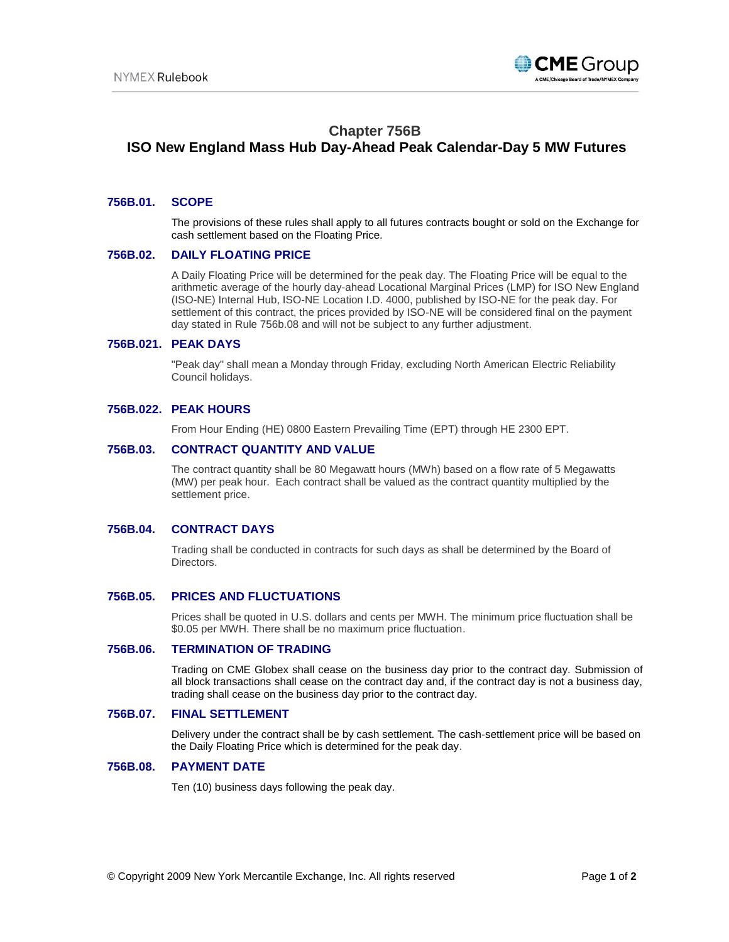

# **Chapter 756B**

# **ISO New England Mass Hub Day-Ahead Peak Calendar-Day 5 MW Futures**

### **756B.01. SCOPE**

The provisions of these rules shall apply to all futures contracts bought or sold on the Exchange for cash settlement based on the Floating Price.

### **756B.02. DAILY FLOATING PRICE**

A Daily Floating Price will be determined for the peak day. The Floating Price will be equal to the arithmetic average of the hourly day-ahead Locational Marginal Prices (LMP) for ISO New England (ISO-NE) Internal Hub, ISO-NE Location I.D. 4000, published by ISO-NE for the peak day. For settlement of this contract, the prices provided by ISO-NE will be considered final on the payment day stated in Rule 756b.08 and will not be subject to any further adjustment.

### **756B.021. PEAK DAYS**

"Peak day" shall mean a Monday through Friday, excluding North American Electric Reliability Council holidays.

### **756B.022. PEAK HOURS**

From Hour Ending (HE) 0800 Eastern Prevailing Time (EPT) through HE 2300 EPT.

### **756B.03. CONTRACT QUANTITY AND VALUE**

The contract quantity shall be 80 Megawatt hours (MWh) based on a flow rate of 5 Megawatts (MW) per peak hour. Each contract shall be valued as the contract quantity multiplied by the settlement price.

## **756B.04. CONTRACT DAYS**

Trading shall be conducted in contracts for such days as shall be determined by the Board of Directors.

### **756B.05. PRICES AND FLUCTUATIONS**

Prices shall be quoted in U.S. dollars and cents per MWH. The minimum price fluctuation shall be \$0.05 per MWH. There shall be no maximum price fluctuation.

### **756B.06. TERMINATION OF TRADING**

Trading on CME Globex shall cease on the business day prior to the contract day. Submission of all block transactions shall cease on the contract day and, if the contract day is not a business day, trading shall cease on the business day prior to the contract day.

### **756B.07. FINAL SETTLEMENT**

Delivery under the contract shall be by cash settlement. The cash-settlement price will be based on the Daily Floating Price which is determined for the peak day.

### **756B.08. PAYMENT DATE**

Ten (10) business days following the peak day.